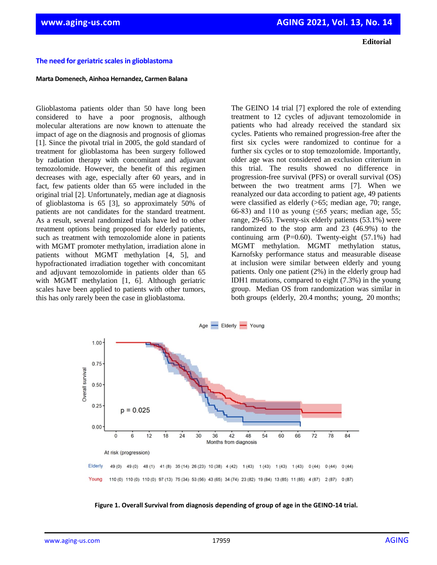**Editorial**

## **The need for geriatric scales in glioblastoma**

## **Marta Domenech, Ainhoa Hernandez, Carmen Balana**

Glioblastoma patients older than 50 have long been considered to have a poor prognosis, although molecular alterations are now known to attenuate the impact of age on the diagnosis and prognosis of gliomas [1]. Since the pivotal trial in 2005, the gold standard of treatment for glioblastoma has been surgery followed by radiation therapy with concomitant and adjuvant temozolomide. However, the benefit of this regimen decreases with age, especially after 60 years, and in fact, few patients older than 65 were included in the original trial [2]. Unfortunately, median age at diagnosis of glioblastoma is 65 [3], so approximately 50% of patients are not candidates for the standard treatment. As a result, several randomized trials have led to other treatment options being proposed for elderly patients, such as treatment with temozolomide alone in patients with MGMT promoter methylation, irradiation alone in patients without MGMT methylation [4, 5], and hypofractionated irradiation together with concomitant and adjuvant temozolomide in patients older than 65 with MGMT methylation [1, 6]. Although geriatric scales have been applied to patients with other tumors, this has only rarely been the case in glioblastoma.

The GEINO 14 trial [7] explored the role of extending treatment to 12 cycles of adjuvant temozolomide in patients who had already received the standard six cycles. Patients who remained progression-free after the first six cycles were randomized to continue for a further six cycles or to stop temozolomide. Importantly, older age was not considered an exclusion criterium in this trial. The results showed no difference in progression-free survival (PFS) or overall survival (OS) between the two treatment arms [7]. When we reanalyzed our data according to patient age, 49 patients were classified as elderly (>65; median age, 70; range, 66-83) and 110 as young ( $\leq 65$  years; median age, 55; range, 29-65). Twenty-six elderly patients (53.1%) were randomized to the stop arm and 23 (46.9%) to the continuing arm  $(P=0.60)$ . Twenty-eight  $(57.1\%)$  had MGMT methylation. MGMT methylation status, Karnofsky performance status and measurable disease at inclusion were similar between elderly and young patients. Only one patient (2%) in the elderly group had IDH1 mutations, compared to eight (7.3%) in the young group. Median OS from randomization was similar in both groups (elderly, 20.4 months; young, 20 months;